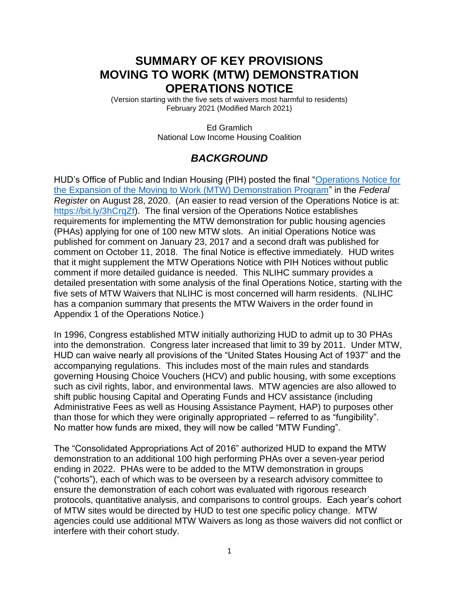# **SUMMARY OF KEY PROVISIONS MOVING TO WORK (MTW) DEMONSTRATION OPERATIONS NOTICE**

(Version starting with the five sets of waivers most harmful to residents) February 2021 (Modified March 2021)

> Ed Gramlich National Low Income Housing Coalition

## *BACKGROUND*

HUD's Office of Public and Indian Housing (PIH) posted the final "Operations Notice for [the Expansion of the Moving to Work \(MTW\) Demonstration Program"](https://www.govinfo.gov/content/pkg/FR-2020-08-28/pdf/2020-18152.pdf) in the *Federal Register* on August 28, 2020. (An easier to read version of the Operations Notice is at: [https://bit.ly/3hCrqZf\)](https://bit.ly/3hCrqZf). The final version of the Operations Notice establishes requirements for implementing the MTW demonstration for public housing agencies (PHAs) applying for one of 100 new MTW slots. An initial Operations Notice was published for comment on January 23, 2017 and a second draft was published for comment on October 11, 2018. The final Notice is effective immediately. HUD writes that it might supplement the MTW Operations Notice with PIH Notices without public comment if more detailed guidance is needed. This NLIHC summary provides a detailed presentation with some analysis of the final Operations Notice, starting with the five sets of MTW Waivers that NLIHC is most concerned will harm residents. (NLIHC has a companion summary that presents the MTW Waivers in the order found in Appendix 1 of the Operations Notice.)

In 1996, Congress established MTW initially authorizing HUD to admit up to 30 PHAs into the demonstration. Congress later increased that limit to 39 by 2011. Under MTW, HUD can waive nearly all provisions of the "United States Housing Act of 1937" and the accompanying regulations. This includes most of the main rules and standards governing Housing Choice Vouchers (HCV) and public housing, with some exceptions such as civil rights, labor, and environmental laws. MTW agencies are also allowed to shift public housing Capital and Operating Funds and HCV assistance (including Administrative Fees as well as Housing Assistance Payment, HAP) to purposes other than those for which they were originally appropriated – referred to as "fungibility". No matter how funds are mixed, they will now be called "MTW Funding".

The "Consolidated Appropriations Act of 2016" authorized HUD to expand the MTW demonstration to an additional 100 high performing PHAs over a seven-year period ending in 2022. PHAs were to be added to the MTW demonstration in groups ("cohorts"), each of which was to be overseen by a research advisory committee to ensure the demonstration of each cohort was evaluated with rigorous research protocols, quantitative analysis, and comparisons to control groups. Each year's cohort of MTW sites would be directed by HUD to test one specific policy change. MTW agencies could use additional MTW Waivers as long as those waivers did not conflict or interfere with their cohort study.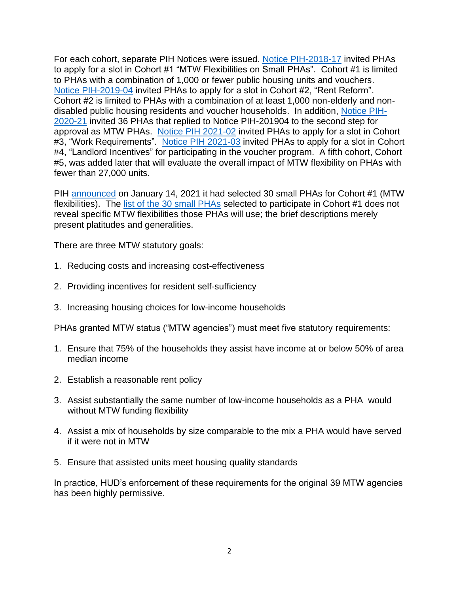For each cohort, separate PIH Notices were issued. [Notice PIH-2018-17](https://www.hud.gov/sites/dfiles/PIH/documents/PIH-2018-17MTWDemonstrationProgram.pdf) invited PHAs to apply for a slot in Cohort #1 "MTW Flexibilities on Small PHAs". Cohort #1 is limited to PHAs with a combination of 1,000 or fewer public housing units and vouchers. [Notice PIH-2019-04](https://www.hud.gov/sites/dfiles/PIH/documents/PIH-2019-04.pdf) invited PHAs to apply for a slot in Cohort #2, "Rent Reform". Cohort #2 is limited to PHAs with a combination of at least 1,000 non-elderly and nondisabled public housing residents and voucher households. In addition, [Notice PIH-](https://www.hud.gov/sites/dfiles/PIH/documents/pih2020-21.pdf)[2020-21](https://www.hud.gov/sites/dfiles/PIH/documents/pih2020-21.pdf) invited 36 PHAs that replied to Notice PIH-201904 to the second step for approval as MTW PHAs. [Notice PIH 2021-02](https://www.hud.gov/sites/dfiles/PIH/documents/2021-02pihn.pdf) invited PHAs to apply for a slot in Cohort #3, "Work Requirements". [Notice PIH 2021-03](https://www.hud.gov/sites/dfiles/PIH/documents/2021-03pihn.pdf) invited PHAs to apply for a slot in Cohort #4, "Landlord Incentives" for participating in the voucher program. A fifth cohort, Cohort #5, was added later that will evaluate the overall impact of MTW flexibility on PHAs with fewer than 27,000 units.

PIH [announced](https://www.hud.gov/press/press_releases_media_advisories/HUD_No_21_004) on January 14, 2021 it had selected 30 small PHAs for Cohort #1 (MTW flexibilities). The [list of the 30 small PHAs](https://www.hud.gov/sites/dfiles/PIH/documents/MTWExpansionCohort1SelecteesJanuary2021.pdf) selected to participate in Cohort #1 does not reveal specific MTW flexibilities those PHAs will use; the brief descriptions merely present platitudes and generalities.

There are three MTW statutory goals:

- 1. Reducing costs and increasing cost-effectiveness
- 2. Providing incentives for resident self-sufficiency
- 3. Increasing housing choices for low-income households

PHAs granted MTW status ("MTW agencies") must meet five statutory requirements:

- 1. Ensure that 75% of the households they assist have income at or below 50% of area median income
- 2. Establish a reasonable rent policy
- 3. Assist substantially the same number of low-income households as a PHA would without MTW funding flexibility
- 4. Assist a mix of households by size comparable to the mix a PHA would have served if it were not in MTW
- 5. Ensure that assisted units meet housing quality standards

In practice, HUD's enforcement of these requirements for the original 39 MTW agencies has been highly permissive.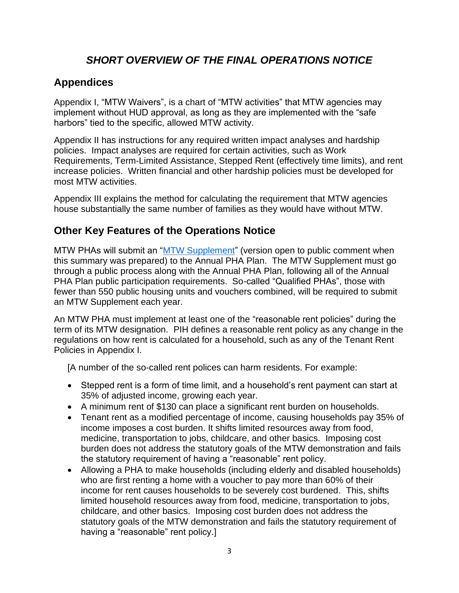## *SHORT OVERVIEW OF THE FINAL OPERATIONS NOTICE*

## **Appendices**

Appendix I, "MTW Waivers", is a chart of "MTW activities" that MTW agencies may implement without HUD approval, as long as they are implemented with the "safe harbors" tied to the specific, allowed MTW activity.

Appendix II has instructions for any required written impact analyses and hardship policies. Impact analyses are required for certain activities, such as Work Requirements, Term-Limited Assistance, Stepped Rent (effectively time limits), and rent increase policies. Written financial and other hardship policies must be developed for most MTW activities.

Appendix III explains the method for calculating the requirement that MTW agencies house substantially the same number of families as they would have without MTW.

## **Other Key Features of the Operations Notice**

MTW PHAs will submit an ["MTW Supplement"](https://www.hud.gov/sites/dfiles/PIH/documents/MTWSupplement30dayFRPosting110520.pdf) (version open to public comment when this summary was prepared) to the Annual PHA Plan. The MTW Supplement must go through a public process along with the Annual PHA Plan, following all of the Annual PHA Plan public participation requirements. So-called "Qualified PHAs", those with fewer than 550 public housing units and vouchers combined, will be required to submit an MTW Supplement each year.

An MTW PHA must implement at least one of the "reasonable rent policies" during the term of its MTW designation. PIH defines a reasonable rent policy as any change in the regulations on how rent is calculated for a household, such as any of the Tenant Rent Policies in Appendix I.

[A number of the so-called rent polices can harm residents. For example:

- Stepped rent is a form of time limit, and a household's rent payment can start at 35% of adjusted income, growing each year.
- A minimum rent of \$130 can place a significant rent burden on households.
- Tenant rent as a modified percentage of income, causing households pay 35% of income imposes a cost burden. It shifts limited resources away from food, medicine, transportation to jobs, childcare, and other basics. Imposing cost burden does not address the statutory goals of the MTW demonstration and fails the statutory requirement of having a "reasonable" rent policy.
- Allowing a PHA to make households (including elderly and disabled households) who are first renting a home with a voucher to pay more than 60% of their income for rent causes households to be severely cost burdened. This, shifts limited household resources away from food, medicine, transportation to jobs, childcare, and other basics. Imposing cost burden does not address the statutory goals of the MTW demonstration and fails the statutory requirement of having a "reasonable" rent policy.]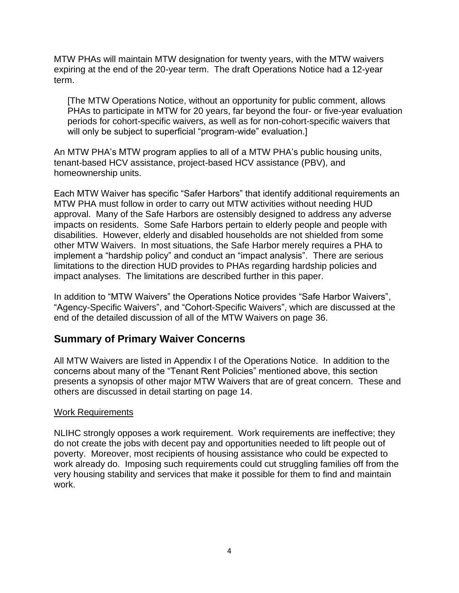MTW PHAs will maintain MTW designation for twenty years, with the MTW waivers expiring at the end of the 20-year term. The draft Operations Notice had a 12-year term.

[The MTW Operations Notice, without an opportunity for public comment, allows PHAs to participate in MTW for 20 years, far beyond the four- or five-year evaluation periods for cohort-specific waivers, as well as for non-cohort-specific waivers that will only be subject to superficial "program-wide" evaluation.]

An MTW PHA's MTW program applies to all of a MTW PHA's public housing units, tenant-based HCV assistance, project-based HCV assistance (PBV), and homeownership units.

Each MTW Waiver has specific "Safer Harbors" that identify additional requirements an MTW PHA must follow in order to carry out MTW activities without needing HUD approval. Many of the Safe Harbors are ostensibly designed to address any adverse impacts on residents. Some Safe Harbors pertain to elderly people and people with disabilities. However, elderly and disabled households are not shielded from some other MTW Waivers. In most situations, the Safe Harbor merely requires a PHA to implement a "hardship policy" and conduct an "impact analysis". There are serious limitations to the direction HUD provides to PHAs regarding hardship policies and impact analyses. The limitations are described further in this paper.

In addition to "MTW Waivers" the Operations Notice provides "Safe Harbor Waivers", "Agency-Specific Waivers", and "Cohort-Specific Waivers", which are discussed at the end of the detailed discussion of all of the MTW Waivers on page 36.

### **Summary of Primary Waiver Concerns**

All MTW Waivers are listed in Appendix I of the Operations Notice. In addition to the concerns about many of the "Tenant Rent Policies" mentioned above, this section presents a synopsis of other major MTW Waivers that are of great concern. These and others are discussed in detail starting on page 14.

#### Work Requirements

NLIHC strongly opposes a work requirement. Work requirements are ineffective; they do not create the jobs with decent pay and opportunities needed to lift people out of poverty. Moreover, most recipients of housing assistance who could be expected to work already do. Imposing such requirements could cut struggling families off from the very housing stability and services that make it possible for them to find and maintain work.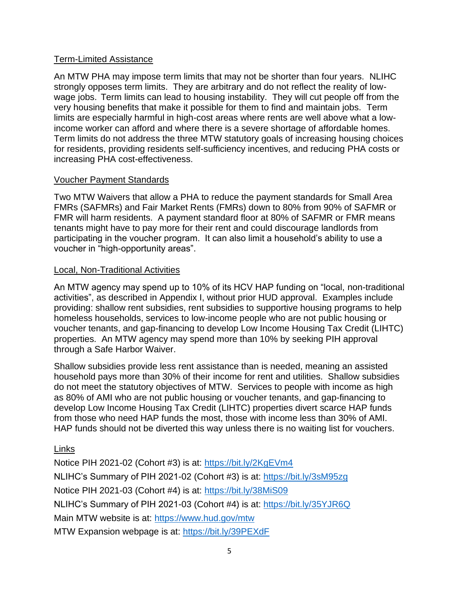### Term-Limited Assistance

An MTW PHA may impose term limits that may not be shorter than four years. NLIHC strongly opposes term limits. They are arbitrary and do not reflect the reality of lowwage jobs. Term limits can lead to housing instability. They will cut people off from the very housing benefits that make it possible for them to find and maintain jobs. Term limits are especially harmful in high-cost areas where rents are well above what a lowincome worker can afford and where there is a severe shortage of affordable homes. Term limits do not address the three MTW statutory goals of increasing housing choices for residents, providing residents self-sufficiency incentives, and reducing PHA costs or increasing PHA cost-effectiveness.

### Voucher Payment Standards

Two MTW Waivers that allow a PHA to reduce the payment standards for Small Area FMRs (SAFMRs) and Fair Market Rents (FMRs) down to 80% from 90% of SAFMR or FMR will harm residents. A payment standard floor at 80% of SAFMR or FMR means tenants might have to pay more for their rent and could discourage landlords from participating in the voucher program. It can also limit a household's ability to use a voucher in "high-opportunity areas".

### Local, Non-Traditional Activities

An MTW agency may spend up to 10% of its HCV HAP funding on "local, non-traditional activities", as described in Appendix I, without prior HUD approval. Examples include providing: shallow rent subsidies, rent subsidies to supportive housing programs to help homeless households, services to low-income people who are not public housing or voucher tenants, and gap-financing to develop Low Income Housing Tax Credit (LIHTC) properties. An MTW agency may spend more than 10% by seeking PIH approval through a Safe Harbor Waiver.

Shallow subsidies provide less rent assistance than is needed, meaning an assisted household pays more than 30% of their income for rent and utilities. Shallow subsidies do not meet the statutory objectives of MTW. Services to people with income as high as 80% of AMI who are not public housing or voucher tenants, and gap-financing to develop Low Income Housing Tax Credit (LIHTC) properties divert scarce HAP funds from those who need HAP funds the most, those with income less than 30% of AMI. HAP funds should not be diverted this way unless there is no waiting list for vouchers.

### Links

Notice PIH 2021-02 (Cohort #3) is at:<https://bit.ly/2KgEVm4> NLIHC's Summary of PIH 2021-02 (Cohort #3) is at:<https://bit.ly/3sM95zg> Notice PIH 2021-03 (Cohort #4) is at:<https://bit.ly/38MiS09> NLIHC's Summary of PIH 2021-03 (Cohort #4) is at:<https://bit.ly/35YJR6Q> Main MTW website is at:<https://www.hud.gov/mtw> MTW Expansion webpage is at:<https://bit.ly/39PEXdF>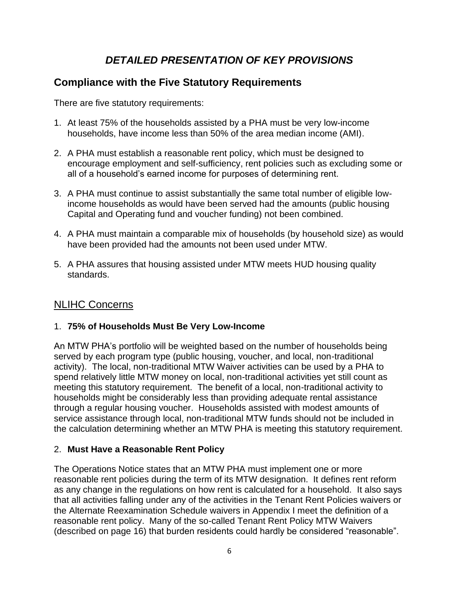# *DETAILED PRESENTATION OF KEY PROVISIONS*

## **Compliance with the Five Statutory Requirements**

There are five statutory requirements:

- 1. At least 75% of the households assisted by a PHA must be very low-income households, have income less than 50% of the area median income (AMI).
- 2. A PHA must establish a reasonable rent policy, which must be designed to encourage employment and self-sufficiency, rent policies such as excluding some or all of a household's earned income for purposes of determining rent.
- 3. A PHA must continue to assist substantially the same total number of eligible lowincome households as would have been served had the amounts (public housing Capital and Operating fund and voucher funding) not been combined.
- 4. A PHA must maintain a comparable mix of households (by household size) as would have been provided had the amounts not been used under MTW.
- 5. A PHA assures that housing assisted under MTW meets HUD housing quality standards.

### NLIHC Concerns

### 1. **75% of Households Must Be Very Low-Income**

An MTW PHA's portfolio will be weighted based on the number of households being served by each program type (public housing, voucher, and local, non-traditional activity). The local, non-traditional MTW Waiver activities can be used by a PHA to spend relatively little MTW money on local, non-traditional activities yet still count as meeting this statutory requirement. The benefit of a local, non-traditional activity to households might be considerably less than providing adequate rental assistance through a regular housing voucher. Households assisted with modest amounts of service assistance through local, non-traditional MTW funds should not be included in the calculation determining whether an MTW PHA is meeting this statutory requirement.

### 2. **Must Have a Reasonable Rent Policy**

The Operations Notice states that an MTW PHA must implement one or more reasonable rent policies during the term of its MTW designation. It defines rent reform as any change in the regulations on how rent is calculated for a household. It also says that all activities falling under any of the activities in the Tenant Rent Policies waivers or the Alternate Reexamination Schedule waivers in Appendix I meet the definition of a reasonable rent policy. Many of the so-called Tenant Rent Policy MTW Waivers (described on page 16) that burden residents could hardly be considered "reasonable".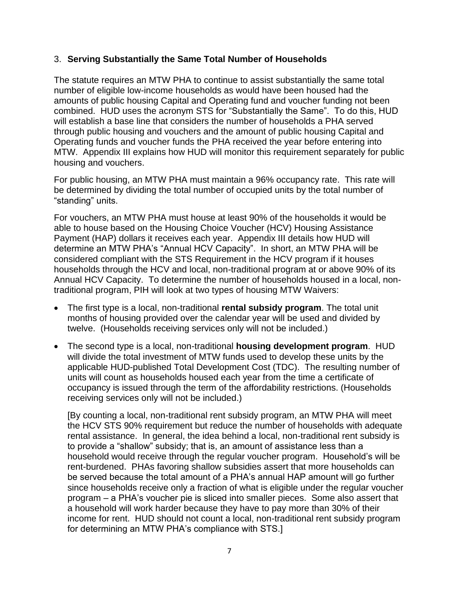### 3. **Serving Substantially the Same Total Number of Households**

The statute requires an MTW PHA to continue to assist substantially the same total number of eligible low-income households as would have been housed had the amounts of public housing Capital and Operating fund and voucher funding not been combined. HUD uses the acronym STS for "Substantially the Same". To do this, HUD will establish a base line that considers the number of households a PHA served through public housing and vouchers and the amount of public housing Capital and Operating funds and voucher funds the PHA received the year before entering into MTW. Appendix III explains how HUD will monitor this requirement separately for public housing and vouchers.

For public housing, an MTW PHA must maintain a 96% occupancy rate. This rate will be determined by dividing the total number of occupied units by the total number of "standing" units.

For vouchers, an MTW PHA must house at least 90% of the households it would be able to house based on the Housing Choice Voucher (HCV) Housing Assistance Payment (HAP) dollars it receives each year. Appendix III details how HUD will determine an MTW PHA's "Annual HCV Capacity". In short, an MTW PHA will be considered compliant with the STS Requirement in the HCV program if it houses households through the HCV and local, non-traditional program at or above 90% of its Annual HCV Capacity. To determine the number of households housed in a local, nontraditional program, PIH will look at two types of housing MTW Waivers:

- The first type is a local, non-traditional **rental subsidy program**. The total unit months of housing provided over the calendar year will be used and divided by twelve. (Households receiving services only will not be included.)
- The second type is a local, non-traditional **housing development program**. HUD will divide the total investment of MTW funds used to develop these units by the applicable HUD-published Total Development Cost (TDC). The resulting number of units will count as households housed each year from the time a certificate of occupancy is issued through the term of the affordability restrictions. (Households receiving services only will not be included.)

[By counting a local, non-traditional rent subsidy program, an MTW PHA will meet the HCV STS 90% requirement but reduce the number of households with adequate rental assistance. In general, the idea behind a local, non-traditional rent subsidy is to provide a "shallow" subsidy; that is, an amount of assistance less than a household would receive through the regular voucher program. Household's will be rent-burdened. PHAs favoring shallow subsidies assert that more households can be served because the total amount of a PHA's annual HAP amount will go further since households receive only a fraction of what is eligible under the regular voucher program – a PHA's voucher pie is sliced into smaller pieces. Some also assert that a household will work harder because they have to pay more than 30% of their income for rent. HUD should not count a local, non-traditional rent subsidy program for determining an MTW PHA's compliance with STS.]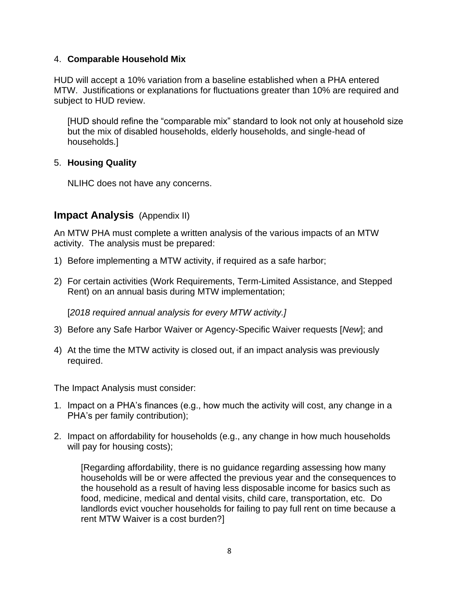### 4. **Comparable Household Mix**

HUD will accept a 10% variation from a baseline established when a PHA entered MTW. Justifications or explanations for fluctuations greater than 10% are required and subject to HUD review.

[HUD should refine the "comparable mix" standard to look not only at household size but the mix of disabled households, elderly households, and single-head of households.]

### 5. **Housing Quality**

NLIHC does not have any concerns.

### **Impact Analysis** (Appendix II)

An MTW PHA must complete a written analysis of the various impacts of an MTW activity. The analysis must be prepared:

- 1) Before implementing a MTW activity, if required as a safe harbor;
- 2) For certain activities (Work Requirements, Term-Limited Assistance, and Stepped Rent) on an annual basis during MTW implementation;

[*2018 required annual analysis for every MTW activity.]*

- 3) Before any Safe Harbor Waiver or Agency-Specific Waiver requests [*New*]; and
- 4) At the time the MTW activity is closed out, if an impact analysis was previously required.

The Impact Analysis must consider:

- 1. Impact on a PHA's finances (e.g., how much the activity will cost, any change in a PHA's per family contribution);
- 2. Impact on affordability for households (e.g., any change in how much households will pay for housing costs);

[Regarding affordability, there is no guidance regarding assessing how many households will be or were affected the previous year and the consequences to the household as a result of having less disposable income for basics such as food, medicine, medical and dental visits, child care, transportation, etc. Do landlords evict voucher households for failing to pay full rent on time because a rent MTW Waiver is a cost burden?]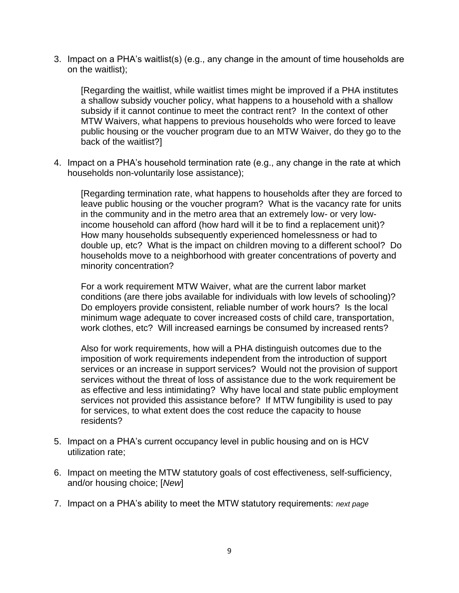3. Impact on a PHA's waitlist(s) (e.g., any change in the amount of time households are on the waitlist);

[Regarding the waitlist, while waitlist times might be improved if a PHA institutes a shallow subsidy voucher policy, what happens to a household with a shallow subsidy if it cannot continue to meet the contract rent? In the context of other MTW Waivers, what happens to previous households who were forced to leave public housing or the voucher program due to an MTW Waiver, do they go to the back of the waitlist?]

4. Impact on a PHA's household termination rate (e.g., any change in the rate at which households non-voluntarily lose assistance);

[Regarding termination rate, what happens to households after they are forced to leave public housing or the voucher program? What is the vacancy rate for units in the community and in the metro area that an extremely low- or very lowincome household can afford (how hard will it be to find a replacement unit)? How many households subsequently experienced homelessness or had to double up, etc? What is the impact on children moving to a different school? Do households move to a neighborhood with greater concentrations of poverty and minority concentration?

For a work requirement MTW Waiver, what are the current labor market conditions (are there jobs available for individuals with low levels of schooling)? Do employers provide consistent, reliable number of work hours? Is the local minimum wage adequate to cover increased costs of child care, transportation, work clothes, etc? Will increased earnings be consumed by increased rents?

Also for work requirements, how will a PHA distinguish outcomes due to the imposition of work requirements independent from the introduction of support services or an increase in support services? Would not the provision of support services without the threat of loss of assistance due to the work requirement be as effective and less intimidating? Why have local and state public employment services not provided this assistance before? If MTW fungibility is used to pay for services, to what extent does the cost reduce the capacity to house residents?

- 5. Impact on a PHA's current occupancy level in public housing and on is HCV utilization rate;
- 6. Impact on meeting the MTW statutory goals of cost effectiveness, self-sufficiency, and/or housing choice; [*New*]
- 7. Impact on a PHA's ability to meet the MTW statutory requirements: *next page*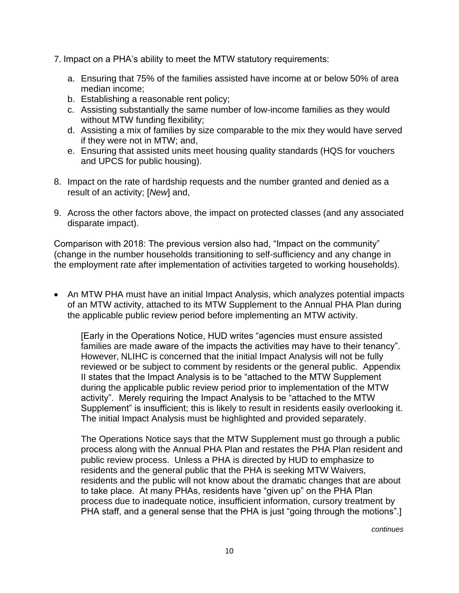- 7. Impact on a PHA's ability to meet the MTW statutory requirements:
	- a. Ensuring that 75% of the families assisted have income at or below 50% of area median income;
	- b. Establishing a reasonable rent policy;
	- c. Assisting substantially the same number of low-income families as they would without MTW funding flexibility;
	- d. Assisting a mix of families by size comparable to the mix they would have served if they were not in MTW; and,
	- e. Ensuring that assisted units meet housing quality standards (HQS for vouchers and UPCS for public housing).
- 8. Impact on the rate of hardship requests and the number granted and denied as a result of an activity; [*New*] and,
- 9. Across the other factors above, the impact on protected classes (and any associated disparate impact).

Comparison with 2018: The previous version also had, "Impact on the community" (change in the number households transitioning to self-sufficiency and any change in the employment rate after implementation of activities targeted to working households).

• An MTW PHA must have an initial Impact Analysis, which analyzes potential impacts of an MTW activity, attached to its MTW Supplement to the Annual PHA Plan during the applicable public review period before implementing an MTW activity.

[Early in the Operations Notice, HUD writes "agencies must ensure assisted families are made aware of the impacts the activities may have to their tenancy". However, NLIHC is concerned that the initial Impact Analysis will not be fully reviewed or be subject to comment by residents or the general public. Appendix II states that the Impact Analysis is to be "attached to the MTW Supplement during the applicable public review period prior to implementation of the MTW activity". Merely requiring the Impact Analysis to be "attached to the MTW Supplement" is insufficient; this is likely to result in residents easily overlooking it. The initial Impact Analysis must be highlighted and provided separately.

The Operations Notice says that the MTW Supplement must go through a public process along with the Annual PHA Plan and restates the PHA Plan resident and public review process. Unless a PHA is directed by HUD to emphasize to residents and the general public that the PHA is seeking MTW Waivers, residents and the public will not know about the dramatic changes that are about to take place. At many PHAs, residents have "given up" on the PHA Plan process due to inadequate notice, insufficient information, cursory treatment by PHA staff, and a general sense that the PHA is just "going through the motions".]

*continues*  $\alpha$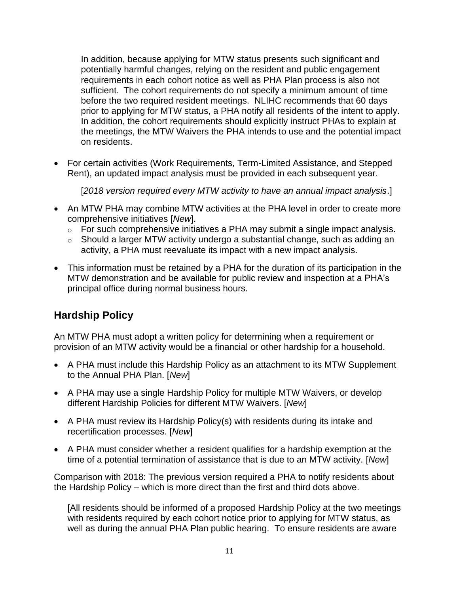In addition, because applying for MTW status presents such significant and potentially harmful changes, relying on the resident and public engagement requirements in each cohort notice as well as PHA Plan process is also not sufficient. The cohort requirements do not specify a minimum amount of time before the two required resident meetings. NLIHC recommends that 60 days prior to applying for MTW status, a PHA notify all residents of the intent to apply. In addition, the cohort requirements should explicitly instruct PHAs to explain at the meetings, the MTW Waivers the PHA intends to use and the potential impact on residents.

• For certain activities (Work Requirements, Term-Limited Assistance, and Stepped Rent), an updated impact analysis must be provided in each subsequent year.

[*2018 version required every MTW activity to have an annual impact analysis*.]

- An MTW PHA may combine MTW activities at the PHA level in order to create more comprehensive initiatives [*New*].
	- o For such comprehensive initiatives a PHA may submit a single impact analysis.
	- o Should a larger MTW activity undergo a substantial change, such as adding an activity, a PHA must reevaluate its impact with a new impact analysis.
- This information must be retained by a PHA for the duration of its participation in the MTW demonstration and be available for public review and inspection at a PHA's principal office during normal business hours.

## **Hardship Policy**

An MTW PHA must adopt a written policy for determining when a requirement or provision of an MTW activity would be a financial or other hardship for a household.

- A PHA must include this Hardship Policy as an attachment to its MTW Supplement to the Annual PHA Plan. [*New*]
- A PHA may use a single Hardship Policy for multiple MTW Waivers, or develop different Hardship Policies for different MTW Waivers. [*New*]
- A PHA must review its Hardship Policy(s) with residents during its intake and recertification processes. [*New*]
- A PHA must consider whether a resident qualifies for a hardship exemption at the time of a potential termination of assistance that is due to an MTW activity. [*New*]

Comparison with 2018: The previous version required a PHA to notify residents about the Hardship Policy – which is more direct than the first and third dots above.

[All residents should be informed of a proposed Hardship Policy at the two meetings with residents required by each cohort notice prior to applying for MTW status, as well as during the annual PHA Plan public hearing. To ensure residents are aware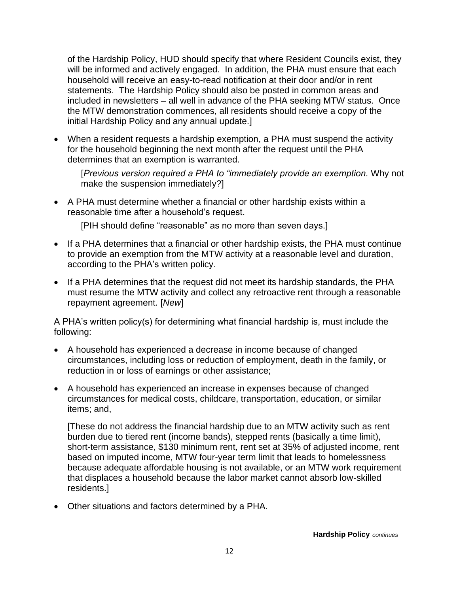of the Hardship Policy, HUD should specify that where Resident Councils exist, they will be informed and actively engaged. In addition, the PHA must ensure that each household will receive an easy-to-read notification at their door and/or in rent statements. The Hardship Policy should also be posted in common areas and included in newsletters – all well in advance of the PHA seeking MTW status. Once the MTW demonstration commences, all residents should receive a copy of the initial Hardship Policy and any annual update.]

• When a resident requests a hardship exemption, a PHA must suspend the activity for the household beginning the next month after the request until the PHA determines that an exemption is warranted.

[*Previous version required a PHA to "immediately provide an exemption.* Why not make the suspension immediately?]

• A PHA must determine whether a financial or other hardship exists within a reasonable time after a household's request.

[PIH should define "reasonable" as no more than seven days.]

- If a PHA determines that a financial or other hardship exists, the PHA must continue to provide an exemption from the MTW activity at a reasonable level and duration, according to the PHA's written policy.
- If a PHA determines that the request did not meet its hardship standards, the PHA must resume the MTW activity and collect any retroactive rent through a reasonable repayment agreement. [*New*]

A PHA's written policy(s) for determining what financial hardship is, must include the following:

- A household has experienced a decrease in income because of changed circumstances, including loss or reduction of employment, death in the family, or reduction in or loss of earnings or other assistance;
- A household has experienced an increase in expenses because of changed circumstances for medical costs, childcare, transportation, education, or similar items; and,

[These do not address the financial hardship due to an MTW activity such as rent burden due to tiered rent (income bands), stepped rents (basically a time limit), short-term assistance, \$130 minimum rent, rent set at 35% of adjusted income, rent based on imputed income, MTW four-year term limit that leads to homelessness because adequate affordable housing is not available, or an MTW work requirement that displaces a household because the labor market cannot absorb low-skilled residents.]

• Other situations and factors determined by a PHA.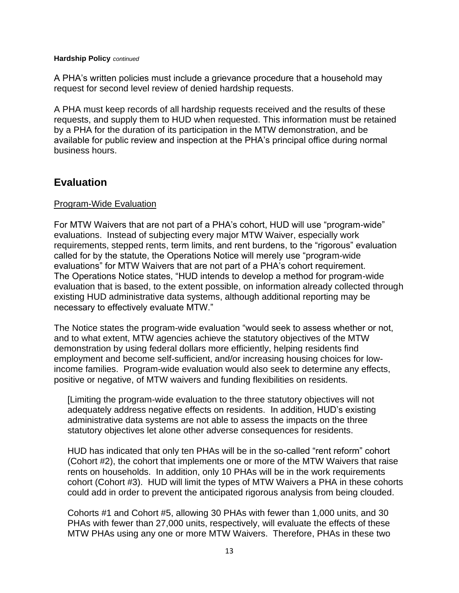#### **Hardship Policy** *continued*

A PHA's written policies must include a grievance procedure that a household may request for second level review of denied hardship requests.

A PHA must keep records of all hardship requests received and the results of these requests, and supply them to HUD when requested. This information must be retained by a PHA for the duration of its participation in the MTW demonstration, and be available for public review and inspection at the PHA's principal office during normal business hours.

### **Evaluation**

#### Program-Wide Evaluation

For MTW Waivers that are not part of a PHA's cohort, HUD will use "program-wide" evaluations. Instead of subjecting every major MTW Waiver, especially work requirements, stepped rents, term limits, and rent burdens, to the "rigorous" evaluation called for by the statute, the Operations Notice will merely use "program-wide evaluations" for MTW Waivers that are not part of a PHA's cohort requirement. The Operations Notice states, "HUD intends to develop a method for program-wide evaluation that is based, to the extent possible, on information already collected through existing HUD administrative data systems, although additional reporting may be necessary to effectively evaluate MTW."

The Notice states the program-wide evaluation "would seek to assess whether or not, and to what extent, MTW agencies achieve the statutory objectives of the MTW demonstration by using federal dollars more efficiently, helping residents find employment and become self-sufficient, and/or increasing housing choices for lowincome families. Program-wide evaluation would also seek to determine any effects, positive or negative, of MTW waivers and funding flexibilities on residents.

[Limiting the program-wide evaluation to the three statutory objectives will not adequately address negative effects on residents. In addition, HUD's existing administrative data systems are not able to assess the impacts on the three statutory objectives let alone other adverse consequences for residents.

HUD has indicated that only ten PHAs will be in the so-called "rent reform" cohort (Cohort #2), the cohort that implements one or more of the MTW Waivers that raise rents on households. In addition, only 10 PHAs will be in the work requirements cohort (Cohort #3). HUD will limit the types of MTW Waivers a PHA in these cohorts could add in order to prevent the anticipated rigorous analysis from being clouded.

Cohorts #1 and Cohort #5, allowing 30 PHAs with fewer than 1,000 units, and 30 PHAs with fewer than 27,000 units, respectively, will evaluate the effects of these MTW PHAs using any one or more MTW Waivers. Therefore, PHAs in these two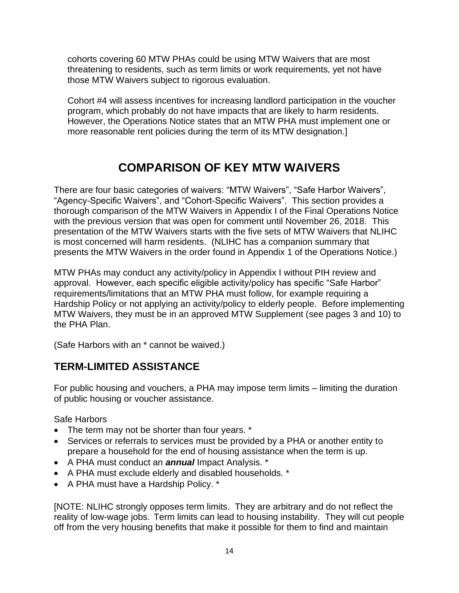cohorts covering 60 MTW PHAs could be using MTW Waivers that are most threatening to residents, such as term limits or work requirements, yet not have those MTW Waivers subject to rigorous evaluation.

Cohort #4 will assess incentives for increasing landlord participation in the voucher program, which probably do not have impacts that are likely to harm residents. However, the Operations Notice states that an MTW PHA must implement one or more reasonable rent policies during the term of its MTW designation.]

# **COMPARISON OF KEY MTW WAIVERS**

There are four basic categories of waivers: "MTW Waivers", "Safe Harbor Waivers", "Agency-Specific Waivers", and "Cohort-Specific Waivers". This section provides a thorough comparison of the MTW Waivers in Appendix I of the Final Operations Notice with the previous version that was open for comment until November 26, 2018. This presentation of the MTW Waivers starts with the five sets of MTW Waivers that NLIHC is most concerned will harm residents. (NLIHC has a companion summary that presents the MTW Waivers in the order found in Appendix 1 of the Operations Notice.)

MTW PHAs may conduct any activity/policy in Appendix I without PIH review and approval. However, each specific eligible activity/policy has specific "Safe Harbor" requirements/limitations that an MTW PHA must follow, for example requiring a Hardship Policy or not applying an activity/policy to elderly people. Before implementing MTW Waivers, they must be in an approved MTW Supplement (see pages 3 and 10) to the PHA Plan.

(Safe Harbors with an \* cannot be waived.)

### **TERM-LIMITED ASSISTANCE**

For public housing and vouchers, a PHA may impose term limits – limiting the duration of public housing or voucher assistance.

Safe Harbors

- The term may not be shorter than four years. \*
- Services or referrals to services must be provided by a PHA or another entity to prepare a household for the end of housing assistance when the term is up.
- A PHA must conduct an *annual* Impact Analysis. \*
- A PHA must exclude elderly and disabled households. \*
- A PHA must have a Hardship Policy. \*

[NOTE: NLIHC strongly opposes term limits. They are arbitrary and do not reflect the reality of low-wage jobs. Term limits can lead to housing instability. They will cut people off from the very housing benefits that make it possible for them to find and maintain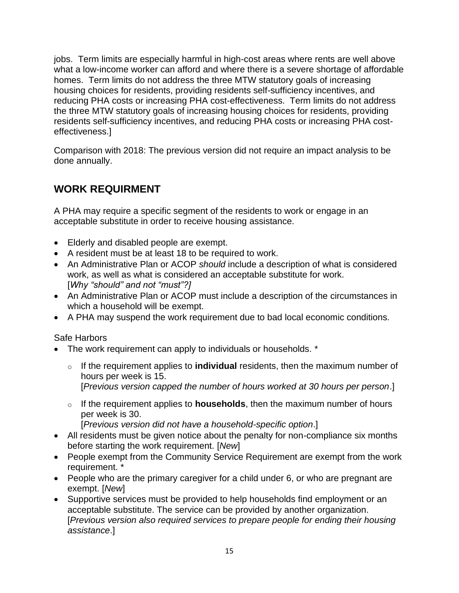jobs. Term limits are especially harmful in high-cost areas where rents are well above what a low-income worker can afford and where there is a severe shortage of affordable homes. Term limits do not address the three MTW statutory goals of increasing housing choices for residents, providing residents self-sufficiency incentives, and reducing PHA costs or increasing PHA cost-effectiveness. Term limits do not address the three MTW statutory goals of increasing housing choices for residents, providing residents self-sufficiency incentives, and reducing PHA costs or increasing PHA costeffectiveness.]

Comparison with 2018: The previous version did not require an impact analysis to be done annually.

## **WORK REQUIRMENT**

A PHA may require a specific segment of the residents to work or engage in an acceptable substitute in order to receive housing assistance.

- Elderly and disabled people are exempt.
- A resident must be at least 18 to be required to work.
- An Administrative Plan or ACOP *should* include a description of what is considered work, as well as what is considered an acceptable substitute for work. [*Why "should" and not "must"?]*
- An Administrative Plan or ACOP must include a description of the circumstances in which a household will be exempt.
- A PHA may suspend the work requirement due to bad local economic conditions.

### Safe Harbors

- The work requirement can apply to individuals or households. \*
	- o If the requirement applies to **individual** residents, then the maximum number of hours per week is 15. [*Previous version capped the number of hours worked at 30 hours per person*.]
	- o If the requirement applies to **households**, then the maximum number of hours per week is 30.

[*Previous version did not have a household-specific option*.]

- All residents must be given notice about the penalty for non-compliance six months before starting the work requirement. [*New*]
- People exempt from the Community Service Requirement are exempt from the work requirement. \*
- People who are the primary caregiver for a child under 6, or who are pregnant are exempt. [*New*]
- Supportive services must be provided to help households find employment or an acceptable substitute. The service can be provided by another organization. [*Previous version also required services to prepare people for ending their housing assistance*.]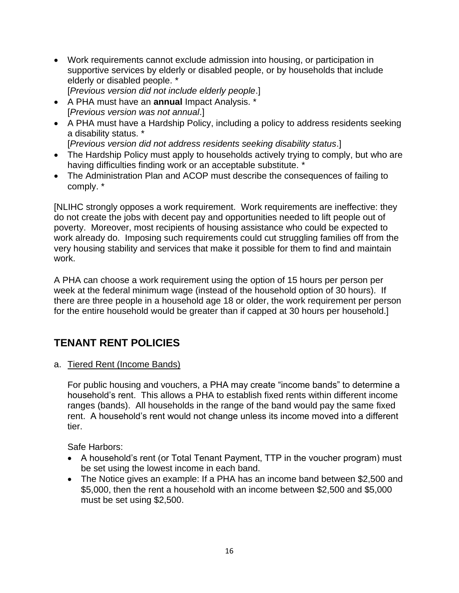- Work requirements cannot exclude admission into housing, or participation in supportive services by elderly or disabled people, or by households that include elderly or disabled people. \* [*Previous version did not include elderly people*.]
- A PHA must have an **annual** Impact Analysis. \*
	- [*Previous version was not annual*.]
- A PHA must have a Hardship Policy, including a policy to address residents seeking a disability status. \*
	- [*Previous version did not address residents seeking disability status*.]
- The Hardship Policy must apply to households actively trying to comply, but who are having difficulties finding work or an acceptable substitute. \*
- The Administration Plan and ACOP must describe the consequences of failing to comply. \*

[NLIHC strongly opposes a work requirement. Work requirements are ineffective: they do not create the jobs with decent pay and opportunities needed to lift people out of poverty. Moreover, most recipients of housing assistance who could be expected to work already do. Imposing such requirements could cut struggling families off from the very housing stability and services that make it possible for them to find and maintain work.

A PHA can choose a work requirement using the option of 15 hours per person per week at the federal minimum wage (instead of the household option of 30 hours). If there are three people in a household age 18 or older, the work requirement per person for the entire household would be greater than if capped at 30 hours per household.]

# **TENANT RENT POLICIES**

a. Tiered Rent (Income Bands)

For public housing and vouchers, a PHA may create "income bands" to determine a household's rent. This allows a PHA to establish fixed rents within different income ranges (bands). All households in the range of the band would pay the same fixed rent. A household's rent would not change unless its income moved into a different tier.

Safe Harbors:

- A household's rent (or Total Tenant Payment, TTP in the voucher program) must be set using the lowest income in each band.
- The Notice gives an example: If a PHA has an income band between \$2,500 and \$5,000, then the rent a household with an income between \$2,500 and \$5,000 must be set using \$2,500.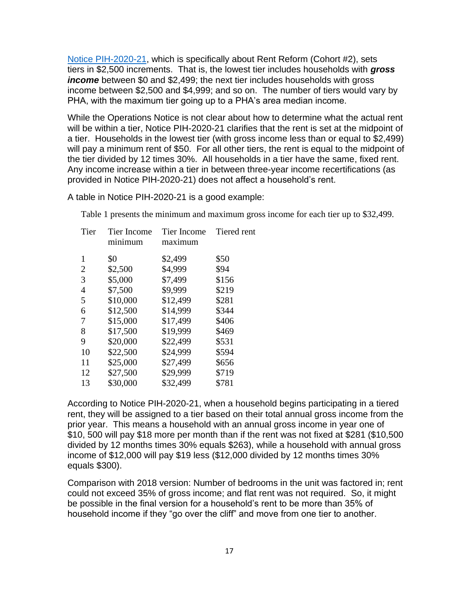[Notice PIH-2020-21,](https://www.hud.gov/sites/dfiles/PIH/documents/pih2020-21.pdf) which is specifically about Rent Reform (Cohort #2), sets tiers in \$2,500 increments. That is, the lowest tier includes households with *gross income* between \$0 and \$2,499; the next tier includes households with gross income between \$2,500 and \$4,999; and so on. The number of tiers would vary by PHA, with the maximum tier going up to a PHA's area median income.

While the Operations Notice is not clear about how to determine what the actual rent will be within a tier, Notice PIH-2020-21 clarifies that the rent is set at the midpoint of a tier. Households in the lowest tier (with gross income less than or equal to \$2,499) will pay a minimum rent of \$50. For all other tiers, the rent is equal to the midpoint of the tier divided by 12 times 30%. All households in a tier have the same, fixed rent. Any income increase within a tier in between three-year income recertifications (as provided in Notice PIH-2020-21) does not affect a household's rent.

A table in Notice PIH-2020-21 is a good example:

Table 1 presents the minimum and maximum gross income for each tier up to \$32,499.

| Tier           | Tier Income<br>minimum | Tier Income<br>maximum | Tiered rent |
|----------------|------------------------|------------------------|-------------|
| 1              | \$0                    | \$2,499                | \$50        |
| $\overline{2}$ | \$2,500                | \$4,999                | \$94        |
| 3              | \$5,000                | \$7,499                | \$156       |
| $\overline{4}$ | \$7,500                | \$9,999                | \$219       |
| 5              | \$10,000               | \$12,499               | \$281       |
| 6              | \$12,500               | \$14,999               | \$344       |
| 7              | \$15,000               | \$17,499               | \$406       |
| 8              | \$17,500               | \$19,999               | \$469       |
| 9              | \$20,000               | \$22,499               | \$531       |
| 10             | \$22,500               | \$24,999               | \$594       |
| 11             | \$25,000               | \$27,499               | \$656       |
| 12             | \$27,500               | \$29,999               | \$719       |
| 13             | \$30,000               | \$32,499               | \$781       |
|                |                        |                        |             |

According to Notice PIH-2020-21, when a household begins participating in a tiered rent, they will be assigned to a tier based on their total annual gross income from the prior year. This means a household with an annual gross income in year one of \$10, 500 will pay \$18 more per month than if the rent was not fixed at \$281 (\$10,500 divided by 12 months times 30% equals \$263), while a household with annual gross income of \$12,000 will pay \$19 less (\$12,000 divided by 12 months times 30% equals \$300).

Comparison with 2018 version: Number of bedrooms in the unit was factored in; rent could not exceed 35% of gross income; and flat rent was not required. So, it might be possible in the final version for a household's rent to be more than 35% of household income if they "go over the cliff" and move from one tier to another.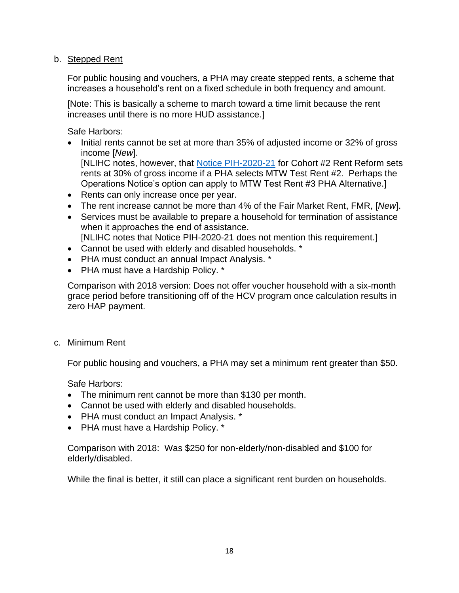### b. Stepped Rent

For public housing and vouchers, a PHA may create stepped rents, a scheme that increases a household's rent on a fixed schedule in both frequency and amount.

[Note: This is basically a scheme to march toward a time limit because the rent increases until there is no more HUD assistance.]

Safe Harbors:

• Initial rents cannot be set at more than 35% of adjusted income or 32% of gross income [*New*].

[NLIHC notes, however, that [Notice PIH-2020-21](https://www.hud.gov/sites/dfiles/PIH/documents/pih2020-21.pdf) for Cohort #2 Rent Reform sets rents at 30% of gross income if a PHA selects MTW Test Rent #2. Perhaps the Operations Notice's option can apply to MTW Test Rent #3 PHA Alternative.]

- Rents can only increase once per year.
- The rent increase cannot be more than 4% of the Fair Market Rent, FMR, [*New*].
- Services must be available to prepare a household for termination of assistance when it approaches the end of assistance. [NLIHC notes that Notice PIH-2020-21 does not mention this requirement.]
- Cannot be used with elderly and disabled households. \*
- PHA must conduct an annual Impact Analysis. \*
- PHA must have a Hardship Policy. \*

Comparison with 2018 version: Does not offer voucher household with a six-month grace period before transitioning off of the HCV program once calculation results in zero HAP payment.

c. Minimum Rent

For public housing and vouchers, a PHA may set a minimum rent greater than \$50.

Safe Harbors:

- The minimum rent cannot be more than \$130 per month.
- Cannot be used with elderly and disabled households.
- PHA must conduct an Impact Analysis. \*
- PHA must have a Hardship Policy. \*

Comparison with 2018: Was \$250 for non-elderly/non-disabled and \$100 for elderly/disabled.

While the final is better, it still can place a significant rent burden on households.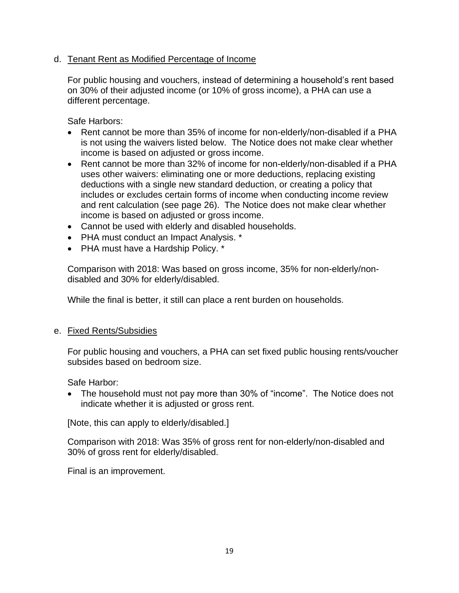### d. Tenant Rent as Modified Percentage of Income

For public housing and vouchers, instead of determining a household's rent based on 30% of their adjusted income (or 10% of gross income), a PHA can use a different percentage.

Safe Harbors:

- Rent cannot be more than 35% of income for non-elderly/non-disabled if a PHA is not using the waivers listed below. The Notice does not make clear whether income is based on adjusted or gross income.
- Rent cannot be more than 32% of income for non-elderly/non-disabled if a PHA uses other waivers: eliminating one or more deductions, replacing existing deductions with a single new standard deduction, or creating a policy that includes or excludes certain forms of income when conducting income review and rent calculation (see page 26). The Notice does not make clear whether income is based on adjusted or gross income.
- Cannot be used with elderly and disabled households.
- PHA must conduct an Impact Analysis. \*
- PHA must have a Hardship Policy. \*

Comparison with 2018: Was based on gross income, 35% for non-elderly/nondisabled and 30% for elderly/disabled.

While the final is better, it still can place a rent burden on households.

### e. Fixed Rents/Subsidies

For public housing and vouchers, a PHA can set fixed public housing rents/voucher subsides based on bedroom size.

Safe Harbor:

• The household must not pay more than 30% of "income". The Notice does not indicate whether it is adjusted or gross rent.

[Note, this can apply to elderly/disabled.]

Comparison with 2018: Was 35% of gross rent for non-elderly/non-disabled and 30% of gross rent for elderly/disabled.

Final is an improvement.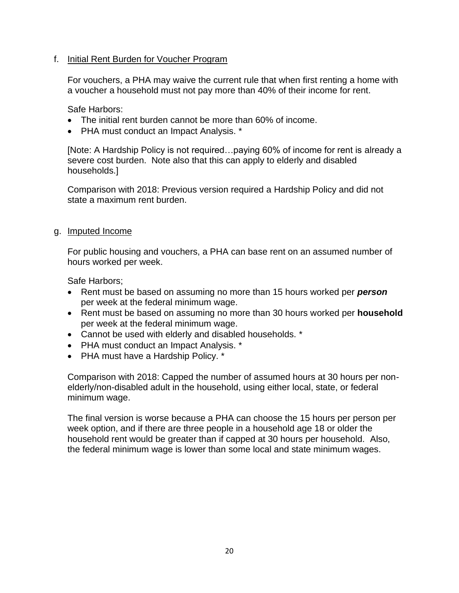### f. Initial Rent Burden for Voucher Program

For vouchers, a PHA may waive the current rule that when first renting a home with a voucher a household must not pay more than 40% of their income for rent.

Safe Harbors:

- The initial rent burden cannot be more than 60% of income.
- PHA must conduct an Impact Analysis. \*

[Note: A Hardship Policy is not required…paying 60% of income for rent is already a severe cost burden. Note also that this can apply to elderly and disabled households.]

Comparison with 2018: Previous version required a Hardship Policy and did not state a maximum rent burden.

### g. Imputed Income

For public housing and vouchers, a PHA can base rent on an assumed number of hours worked per week.

Safe Harbors;

- Rent must be based on assuming no more than 15 hours worked per *person* per week at the federal minimum wage.
- Rent must be based on assuming no more than 30 hours worked per **household** per week at the federal minimum wage.
- Cannot be used with elderly and disabled households. \*
- PHA must conduct an Impact Analysis. \*
- PHA must have a Hardship Policy. \*

Comparison with 2018: Capped the number of assumed hours at 30 hours per nonelderly/non-disabled adult in the household, using either local, state, or federal minimum wage.

The final version is worse because a PHA can choose the 15 hours per person per week option, and if there are three people in a household age 18 or older the household rent would be greater than if capped at 30 hours per household. Also, the federal minimum wage is lower than some local and state minimum wages.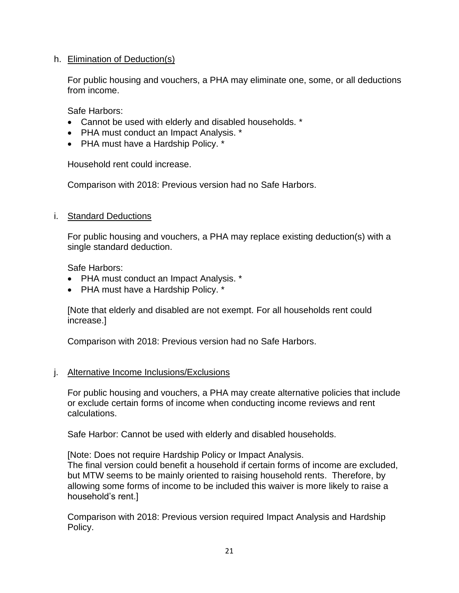### h. Elimination of Deduction(s)

For public housing and vouchers, a PHA may eliminate one, some, or all deductions from income.

Safe Harbors:

- Cannot be used with elderly and disabled households. \*
- PHA must conduct an Impact Analysis. \*
- PHA must have a Hardship Policy. \*

Household rent could increase.

Comparison with 2018: Previous version had no Safe Harbors.

### i. Standard Deductions

For public housing and vouchers, a PHA may replace existing deduction(s) with a single standard deduction.

Safe Harbors:

- PHA must conduct an Impact Analysis. \*
- PHA must have a Hardship Policy. \*

[Note that elderly and disabled are not exempt. For all households rent could increase.]

Comparison with 2018: Previous version had no Safe Harbors.

### j. Alternative Income Inclusions/Exclusions

For public housing and vouchers, a PHA may create alternative policies that include or exclude certain forms of income when conducting income reviews and rent calculations.

Safe Harbor: Cannot be used with elderly and disabled households.

[Note: Does not require Hardship Policy or Impact Analysis. The final version could benefit a household if certain forms of income are excluded, but MTW seems to be mainly oriented to raising household rents. Therefore, by allowing some forms of income to be included this waiver is more likely to raise a household's rent.]

Comparison with 2018: Previous version required Impact Analysis and Hardship Policy.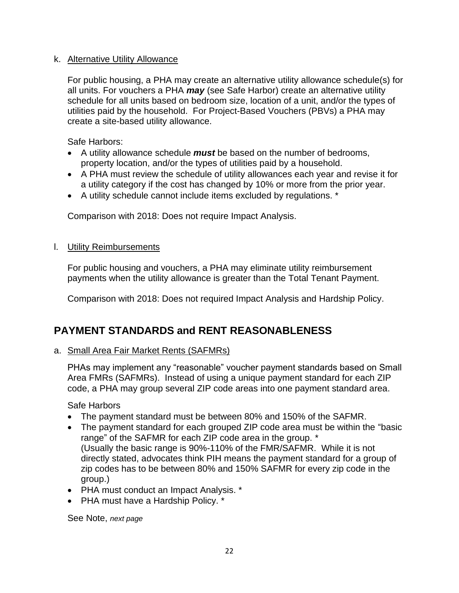### k. Alternative Utility Allowance

For public housing, a PHA may create an alternative utility allowance schedule(s) for all units. For vouchers a PHA *may* (see Safe Harbor) create an alternative utility schedule for all units based on bedroom size, location of a unit, and/or the types of utilities paid by the household. For Project-Based Vouchers (PBVs) a PHA may create a site-based utility allowance.

Safe Harbors:

- A utility allowance schedule *must* be based on the number of bedrooms, property location, and/or the types of utilities paid by a household.
- A PHA must review the schedule of utility allowances each year and revise it for a utility category if the cost has changed by 10% or more from the prior year.
- A utility schedule cannot include items excluded by regulations. \*

Comparison with 2018: Does not require Impact Analysis.

### l. Utility Reimbursements

For public housing and vouchers, a PHA may eliminate utility reimbursement payments when the utility allowance is greater than the Total Tenant Payment.

Comparison with 2018: Does not required Impact Analysis and Hardship Policy.

## **PAYMENT STANDARDS and RENT REASONABLENESS**

### a. Small Area Fair Market Rents (SAFMRs)

PHAs may implement any "reasonable" voucher payment standards based on Small Area FMRs (SAFMRs). Instead of using a unique payment standard for each ZIP code, a PHA may group several ZIP code areas into one payment standard area.

Safe Harbors

- The payment standard must be between 80% and 150% of the SAFMR.
- The payment standard for each grouped ZIP code area must be within the "basic range" of the SAFMR for each ZIP code area in the group. \* (Usually the basic range is 90%-110% of the FMR/SAFMR. While it is not directly stated, advocates think PIH means the payment standard for a group of zip codes has to be between 80% and 150% SAFMR for every zip code in the group.)
- PHA must conduct an Impact Analysis. \*
- PHA must have a Hardship Policy. \*

See Note, *next page*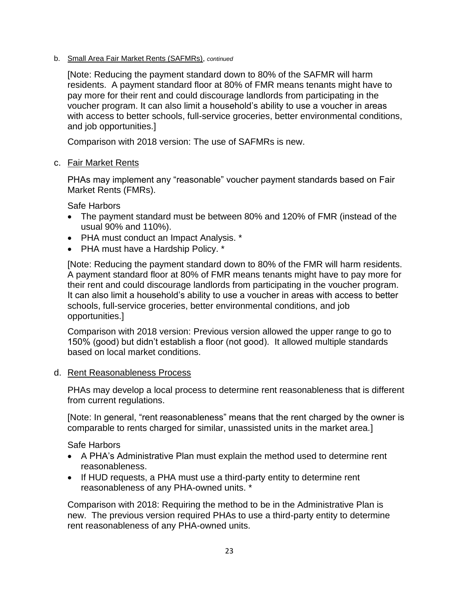b. Small Area Fair Market Rents (SAFMRs), *continued*

[Note: Reducing the payment standard down to 80% of the SAFMR will harm residents. A payment standard floor at 80% of FMR means tenants might have to pay more for their rent and could discourage landlords from participating in the voucher program. It can also limit a household's ability to use a voucher in areas with access to better schools, full-service groceries, better environmental conditions, and job opportunities.]

Comparison with 2018 version: The use of SAFMRs is new.

c. Fair Market Rents

PHAs may implement any "reasonable" voucher payment standards based on Fair Market Rents (FMRs).

Safe Harbors

- The payment standard must be between 80% and 120% of FMR (instead of the usual 90% and 110%).
- PHA must conduct an Impact Analysis. \*
- PHA must have a Hardship Policy. \*

[Note: Reducing the payment standard down to 80% of the FMR will harm residents. A payment standard floor at 80% of FMR means tenants might have to pay more for their rent and could discourage landlords from participating in the voucher program. It can also limit a household's ability to use a voucher in areas with access to better schools, full-service groceries, better environmental conditions, and job opportunities.]

Comparison with 2018 version: Previous version allowed the upper range to go to 150% (good) but didn't establish a floor (not good). It allowed multiple standards based on local market conditions.

d. Rent Reasonableness Process

PHAs may develop a local process to determine rent reasonableness that is different from current regulations.

[Note: In general, "rent reasonableness" means that the rent charged by the owner is comparable to rents charged for similar, unassisted units in the market area.]

Safe Harbors

- A PHA's Administrative Plan must explain the method used to determine rent reasonableness.
- If HUD requests, a PHA must use a third-party entity to determine rent reasonableness of any PHA-owned units. \*

Comparison with 2018: Requiring the method to be in the Administrative Plan is new. The previous version required PHAs to use a third-party entity to determine rent reasonableness of any PHA-owned units.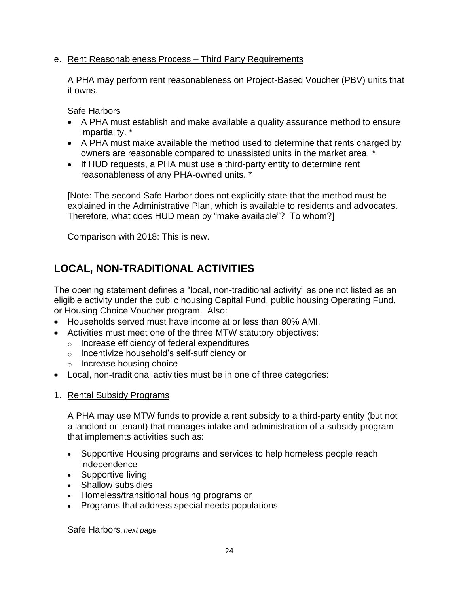### e. Rent Reasonableness Process – Third Party Requirements

A PHA may perform rent reasonableness on Project-Based Voucher (PBV) units that it owns.

Safe Harbors

- A PHA must establish and make available a quality assurance method to ensure impartiality. \*
- A PHA must make available the method used to determine that rents charged by owners are reasonable compared to unassisted units in the market area. \*
- If HUD requests, a PHA must use a third-party entity to determine rent reasonableness of any PHA-owned units. \*

[Note: The second Safe Harbor does not explicitly state that the method must be explained in the Administrative Plan, which is available to residents and advocates. Therefore, what does HUD mean by "make available"? To whom?]

Comparison with 2018: This is new.

# **LOCAL, NON-TRADITIONAL ACTIVITIES**

The opening statement defines a "local, non-traditional activity" as one not listed as an eligible activity under the public housing Capital Fund, public housing Operating Fund, or Housing Choice Voucher program. Also:

- Households served must have income at or less than 80% AMI.
- Activities must meet one of the three MTW statutory objectives:
	- o Increase efficiency of federal expenditures
	- o Incentivize household's self-sufficiency or
	- o Increase housing choice
- Local, non-traditional activities must be in one of three categories:
- 1. Rental Subsidy Programs

A PHA may use MTW funds to provide a rent subsidy to a third-party entity (but not a landlord or tenant) that manages intake and administration of a subsidy program that implements activities such as:

- Supportive Housing programs and services to help homeless people reach independence
- Supportive living
- Shallow subsidies
- Homeless/transitional housing programs or
- Programs that address special needs populations

Safe Harbors, *next page*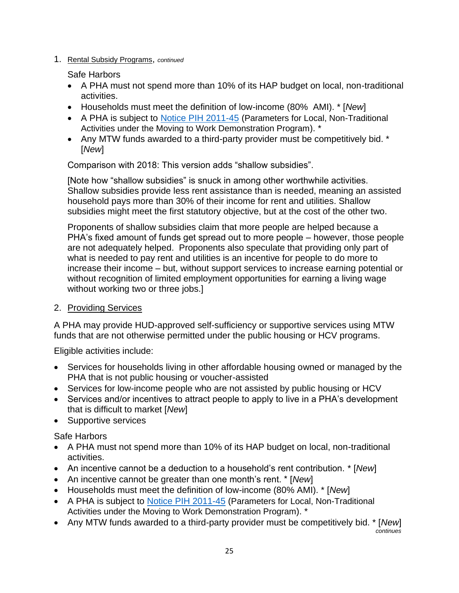1. Rental Subsidy Programs, *continued*

Safe Harbors

- A PHA must not spend more than 10% of its HAP budget on local, non-traditional activities.
- Households must meet the definition of low-income (80% AMI). \* [*New*]
- A PHA is subject to [Notice PIH 2011-45](https://www.hud.gov/sites/documents/pih2011-45.pdf) (Parameters for Local, Non-Traditional Activities under the Moving to Work Demonstration Program). \*
- Any MTW funds awarded to a third-party provider must be competitively bid. \* [*New*]

Comparison with 2018: This version adds "shallow subsidies".

[Note how "shallow subsidies" is snuck in among other worthwhile activities. Shallow subsidies provide less rent assistance than is needed, meaning an assisted household pays more than 30% of their income for rent and utilities. Shallow subsidies might meet the first statutory objective, but at the cost of the other two.

Proponents of shallow subsidies claim that more people are helped because a PHA's fixed amount of funds get spread out to more people – however, those people are not adequately helped. Proponents also speculate that providing only part of what is needed to pay rent and utilities is an incentive for people to do more to increase their income – but, without support services to increase earning potential or without recognition of limited employment opportunities for earning a living wage without working two or three jobs.]

2. Providing Services

A PHA may provide HUD-approved self-sufficiency or supportive services using MTW funds that are not otherwise permitted under the public housing or HCV programs.

Eligible activities include:

- Services for households living in other affordable housing owned or managed by the PHA that is not public housing or voucher-assisted
- Services for low-income people who are not assisted by public housing or HCV
- Services and/or incentives to attract people to apply to live in a PHA's development that is difficult to market [*New*]
- Supportive services

Safe Harbors

- A PHA must not spend more than 10% of its HAP budget on local, non-traditional activities.
- An incentive cannot be a deduction to a household's rent contribution. \* [*New*]
- An incentive cannot be greater than one month's rent. \* [*New*]
- Households must meet the definition of low-income (80% AMI). \* [*New*]
- A PHA is subject to [Notice PIH 2011-45](https://www.hud.gov/sites/documents/pih2011-45.pdf) (Parameters for Local, Non-Traditional Activities under the Moving to Work Demonstration Program). \*
- Any MTW funds awarded to a third-party provider must be competitively bid. \* [*New*]  *continues*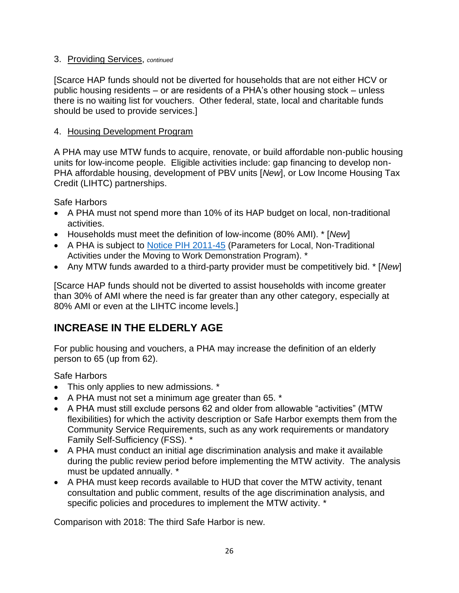### 3. Providing Services, *continued*

[Scarce HAP funds should not be diverted for households that are not either HCV or public housing residents – or are residents of a PHA's other housing stock – unless there is no waiting list for vouchers. Other federal, state, local and charitable funds should be used to provide services.]

### 4. Housing Development Program

A PHA may use MTW funds to acquire, renovate, or build affordable non-public housing units for low-income people. Eligible activities include: gap financing to develop non-PHA affordable housing, development of PBV units [*New*], or Low Income Housing Tax Credit (LIHTC) partnerships.

Safe Harbors

- A PHA must not spend more than 10% of its HAP budget on local, non-traditional activities.
- Households must meet the definition of low-income (80% AMI). \* [*New*]
- A PHA is subject to [Notice PIH 2011-45](https://www.hud.gov/sites/documents/pih2011-45.pdf) (Parameters for Local, Non-Traditional Activities under the Moving to Work Demonstration Program). \*
- Any MTW funds awarded to a third-party provider must be competitively bid. \* [*New*]

[Scarce HAP funds should not be diverted to assist households with income greater than 30% of AMI where the need is far greater than any other category, especially at 80% AMI or even at the LIHTC income levels.]

## **INCREASE IN THE ELDERLY AGE**

For public housing and vouchers, a PHA may increase the definition of an elderly person to 65 (up from 62).

Safe Harbors

- This only applies to new admissions. \*
- A PHA must not set a minimum age greater than 65. \*
- A PHA must still exclude persons 62 and older from allowable "activities" (MTW flexibilities) for which the activity description or Safe Harbor exempts them from the Community Service Requirements, such as any work requirements or mandatory Family Self-Sufficiency (FSS). \*
- A PHA must conduct an initial age discrimination analysis and make it available during the public review period before implementing the MTW activity. The analysis must be updated annually. \*
- A PHA must keep records available to HUD that cover the MTW activity, tenant consultation and public comment, results of the age discrimination analysis, and specific policies and procedures to implement the MTW activity. \*

Comparison with 2018: The third Safe Harbor is new.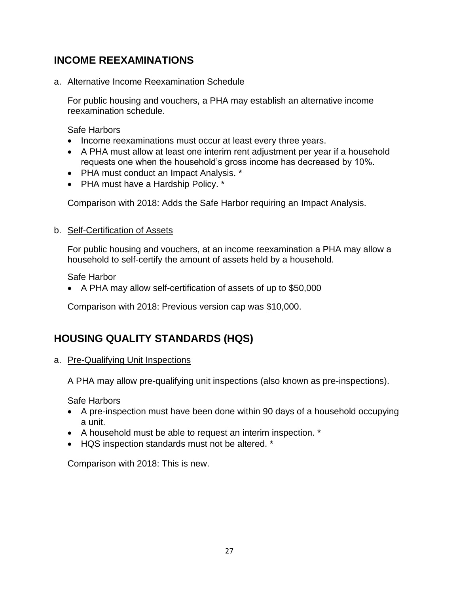## **INCOME REEXAMINATIONS**

a. Alternative Income Reexamination Schedule

For public housing and vouchers, a PHA may establish an alternative income reexamination schedule.

Safe Harbors

- Income reexaminations must occur at least every three years.
- A PHA must allow at least one interim rent adjustment per year if a household requests one when the household's gross income has decreased by 10%.
- PHA must conduct an Impact Analysis. \*
- PHA must have a Hardship Policy. \*

Comparison with 2018: Adds the Safe Harbor requiring an Impact Analysis.

### b. Self-Certification of Assets

For public housing and vouchers, at an income reexamination a PHA may allow a household to self-certify the amount of assets held by a household.

Safe Harbor

• A PHA may allow self-certification of assets of up to \$50,000

Comparison with 2018: Previous version cap was \$10,000.

# **HOUSING QUALITY STANDARDS (HQS)**

a. Pre-Qualifying Unit Inspections

A PHA may allow pre-qualifying unit inspections (also known as pre-inspections).

Safe Harbors

- A pre-inspection must have been done within 90 days of a household occupying a unit.
- A household must be able to request an interim inspection. \*
- HQS inspection standards must not be altered. \*

Comparison with 2018: This is new.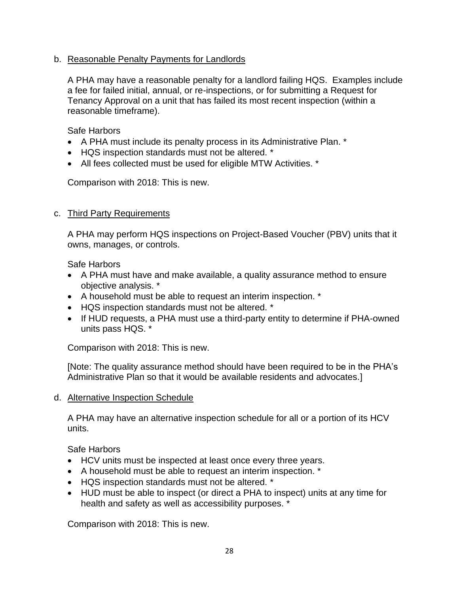### b. Reasonable Penalty Payments for Landlords

A PHA may have a reasonable penalty for a landlord failing HQS. Examples include a fee for failed initial, annual, or re-inspections, or for submitting a Request for Tenancy Approval on a unit that has failed its most recent inspection (within a reasonable timeframe).

Safe Harbors

- A PHA must include its penalty process in its Administrative Plan. \*
- HQS inspection standards must not be altered. \*
- All fees collected must be used for eligible MTW Activities. \*

Comparison with 2018: This is new.

### c. Third Party Requirements

A PHA may perform HQS inspections on Project-Based Voucher (PBV) units that it owns, manages, or controls.

Safe Harbors

- A PHA must have and make available, a quality assurance method to ensure objective analysis. \*
- A household must be able to request an interim inspection. \*
- HQS inspection standards must not be altered. \*
- If HUD requests, a PHA must use a third-party entity to determine if PHA-owned units pass HQS. \*

Comparison with 2018: This is new.

[Note: The quality assurance method should have been required to be in the PHA's Administrative Plan so that it would be available residents and advocates.]

### d. Alternative Inspection Schedule

A PHA may have an alternative inspection schedule for all or a portion of its HCV units.

Safe Harbors

- HCV units must be inspected at least once every three years.
- A household must be able to request an interim inspection. \*
- HQS inspection standards must not be altered. \*
- HUD must be able to inspect (or direct a PHA to inspect) units at any time for health and safety as well as accessibility purposes. \*

Comparison with 2018: This is new.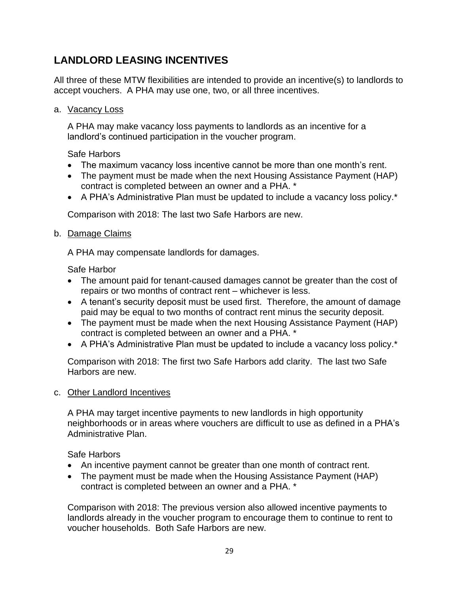## **LANDLORD LEASING INCENTIVES**

All three of these MTW flexibilities are intended to provide an incentive(s) to landlords to accept vouchers. A PHA may use one, two, or all three incentives.

a. Vacancy Loss

A PHA may make vacancy loss payments to landlords as an incentive for a landlord's continued participation in the voucher program.

Safe Harbors

- The maximum vacancy loss incentive cannot be more than one month's rent.
- The payment must be made when the next Housing Assistance Payment (HAP) contract is completed between an owner and a PHA. \*
- A PHA's Administrative Plan must be updated to include a vacancy loss policy.\*

Comparison with 2018: The last two Safe Harbors are new.

#### b. Damage Claims

A PHA may compensate landlords for damages.

Safe Harbor

- The amount paid for tenant-caused damages cannot be greater than the cost of repairs or two months of contract rent – whichever is less.
- A tenant's security deposit must be used first. Therefore, the amount of damage paid may be equal to two months of contract rent minus the security deposit.
- The payment must be made when the next Housing Assistance Payment (HAP) contract is completed between an owner and a PHA. \*
- A PHA's Administrative Plan must be updated to include a vacancy loss policy.<sup>\*</sup>

Comparison with 2018: The first two Safe Harbors add clarity. The last two Safe Harbors are new.

### c. Other Landlord Incentives

A PHA may target incentive payments to new landlords in high opportunity neighborhoods or in areas where vouchers are difficult to use as defined in a PHA's Administrative Plan.

Safe Harbors

- An incentive payment cannot be greater than one month of contract rent.
- The payment must be made when the Housing Assistance Payment (HAP) contract is completed between an owner and a PHA. \*

Comparison with 2018: The previous version also allowed incentive payments to landlords already in the voucher program to encourage them to continue to rent to voucher households. Both Safe Harbors are new.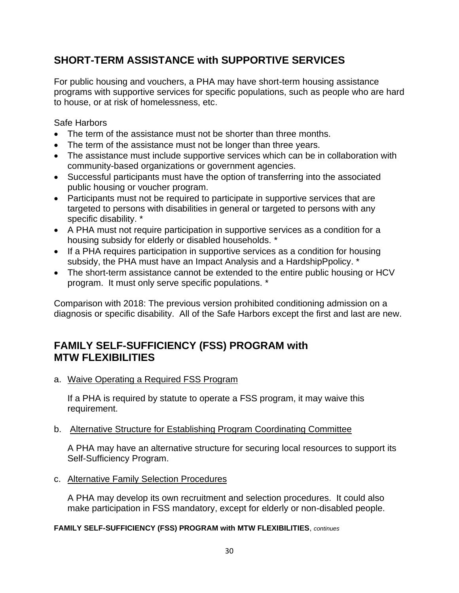## **SHORT-TERM ASSISTANCE with SUPPORTIVE SERVICES**

For public housing and vouchers, a PHA may have short-term housing assistance programs with supportive services for specific populations, such as people who are hard to house, or at risk of homelessness, etc.

Safe Harbors

- The term of the assistance must not be shorter than three months.
- The term of the assistance must not be longer than three years.
- The assistance must include supportive services which can be in collaboration with community-based organizations or government agencies.
- Successful participants must have the option of transferring into the associated public housing or voucher program.
- Participants must not be required to participate in supportive services that are targeted to persons with disabilities in general or targeted to persons with any specific disability. \*
- A PHA must not require participation in supportive services as a condition for a housing subsidy for elderly or disabled households. \*
- If a PHA requires participation in supportive services as a condition for housing subsidy, the PHA must have an Impact Analysis and a HardshipPpolicy. \*
- The short-term assistance cannot be extended to the entire public housing or HCV program. It must only serve specific populations. \*

Comparison with 2018: The previous version prohibited conditioning admission on a diagnosis or specific disability. All of the Safe Harbors except the first and last are new.

### **FAMILY SELF-SUFFICIENCY (FSS) PROGRAM with MTW FLEXIBILITIES**

a. Waive Operating a Required FSS Program

If a PHA is required by statute to operate a FSS program, it may waive this requirement.

b. Alternative Structure for Establishing Program Coordinating Committee

A PHA may have an alternative structure for securing local resources to support its Self-Sufficiency Program.

c. Alternative Family Selection Procedures

A PHA may develop its own recruitment and selection procedures. It could also make participation in FSS mandatory, except for elderly or non-disabled people.

### **FAMILY SELF-SUFFICIENCY (FSS) PROGRAM with MTW FLEXIBILITIES**, *continues*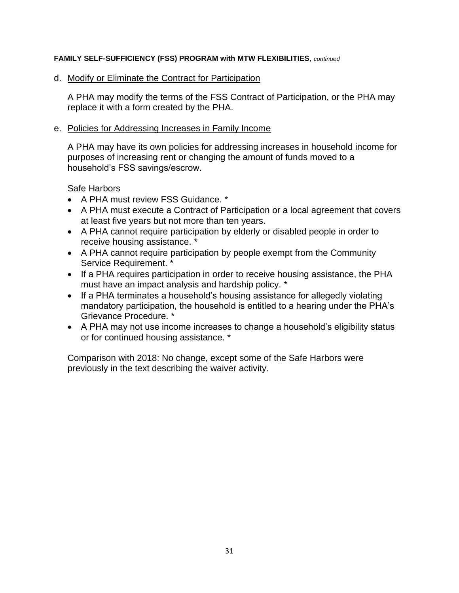#### **FAMILY SELF-SUFFICIENCY (FSS) PROGRAM with MTW FLEXIBILITIES**, *continued*

#### d. Modify or Eliminate the Contract for Participation

A PHA may modify the terms of the FSS Contract of Participation, or the PHA may replace it with a form created by the PHA.

#### e. Policies for Addressing Increases in Family Income

A PHA may have its own policies for addressing increases in household income for purposes of increasing rent or changing the amount of funds moved to a household's FSS savings/escrow.

Safe Harbors

- A PHA must review FSS Guidance. \*
- A PHA must execute a Contract of Participation or a local agreement that covers at least five years but not more than ten years.
- A PHA cannot require participation by elderly or disabled people in order to receive housing assistance. \*
- A PHA cannot require participation by people exempt from the Community Service Requirement. \*
- If a PHA requires participation in order to receive housing assistance, the PHA must have an impact analysis and hardship policy. \*
- If a PHA terminates a household's housing assistance for allegedly violating mandatory participation, the household is entitled to a hearing under the PHA's Grievance Procedure. \*
- A PHA may not use income increases to change a household's eligibility status or for continued housing assistance. \*

Comparison with 2018: No change, except some of the Safe Harbors were previously in the text describing the waiver activity.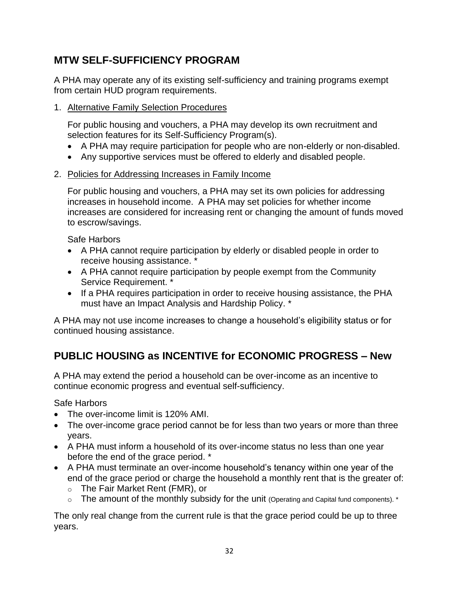## **MTW SELF-SUFFICIENCY PROGRAM**

A PHA may operate any of its existing self-sufficiency and training programs exempt from certain HUD program requirements.

1. Alternative Family Selection Procedures

For public housing and vouchers, a PHA may develop its own recruitment and selection features for its Self-Sufficiency Program(s).

- A PHA may require participation for people who are non-elderly or non-disabled.
- Any supportive services must be offered to elderly and disabled people.
- 2. Policies for Addressing Increases in Family Income

For public housing and vouchers, a PHA may set its own policies for addressing increases in household income. A PHA may set policies for whether income increases are considered for increasing rent or changing the amount of funds moved to escrow/savings.

Safe Harbors

- A PHA cannot require participation by elderly or disabled people in order to receive housing assistance.
- A PHA cannot require participation by people exempt from the Community Service Requirement. \*
- If a PHA requires participation in order to receive housing assistance, the PHA must have an Impact Analysis and Hardship Policy. \*

A PHA may not use income increases to change a household's eligibility status or for continued housing assistance.

# **PUBLIC HOUSING as INCENTIVE for ECONOMIC PROGRESS – New**

A PHA may extend the period a household can be over-income as an incentive to continue economic progress and eventual self-sufficiency.

Safe Harbors

- The over-income limit is 120% AMI.
- The over-income grace period cannot be for less than two years or more than three years.
- A PHA must inform a household of its over-income status no less than one year before the end of the grace period. \*
- A PHA must terminate an over-income household's tenancy within one year of the end of the grace period or charge the household a monthly rent that is the greater of:
	- o The Fair Market Rent (FMR), or
	- $\circ$  The amount of the monthly subsidy for the unit (Operating and Capital fund components).  $*$

The only real change from the current rule is that the grace period could be up to three years.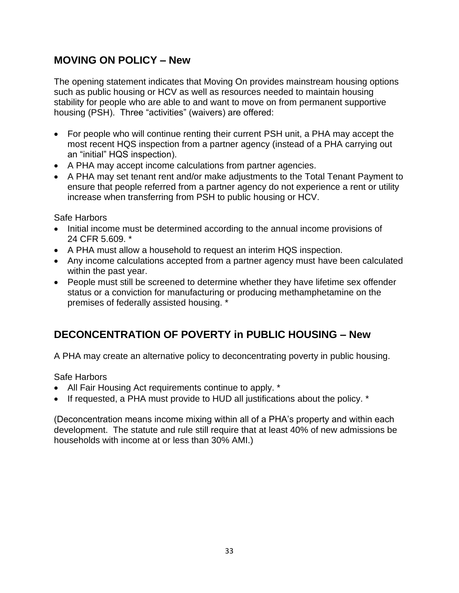### **MOVING ON POLICY – New**

The opening statement indicates that Moving On provides mainstream housing options such as public housing or HCV as well as resources needed to maintain housing stability for people who are able to and want to move on from permanent supportive housing (PSH). Three "activities" (waivers) are offered:

- For people who will continue renting their current PSH unit, a PHA may accept the most recent HQS inspection from a partner agency (instead of a PHA carrying out an "initial" HQS inspection).
- A PHA may accept income calculations from partner agencies.
- A PHA may set tenant rent and/or make adjustments to the Total Tenant Payment to ensure that people referred from a partner agency do not experience a rent or utility increase when transferring from PSH to public housing or HCV.

Safe Harbors

- Initial income must be determined according to the annual income provisions of 24 CFR 5.609. \*
- A PHA must allow a household to request an interim HQS inspection.
- Any income calculations accepted from a partner agency must have been calculated within the past year.
- People must still be screened to determine whether they have lifetime sex offender status or a conviction for manufacturing or producing methamphetamine on the premises of federally assisted housing. \*

# **DECONCENTRATION OF POVERTY in PUBLIC HOUSING – New**

A PHA may create an alternative policy to deconcentrating poverty in public housing.

Safe Harbors

- All Fair Housing Act requirements continue to apply. \*
- If requested, a PHA must provide to HUD all justifications about the policy. \*

(Deconcentration means income mixing within all of a PHA's property and within each development. The statute and rule still require that at least 40% of new admissions be households with income at or less than 30% AMI.)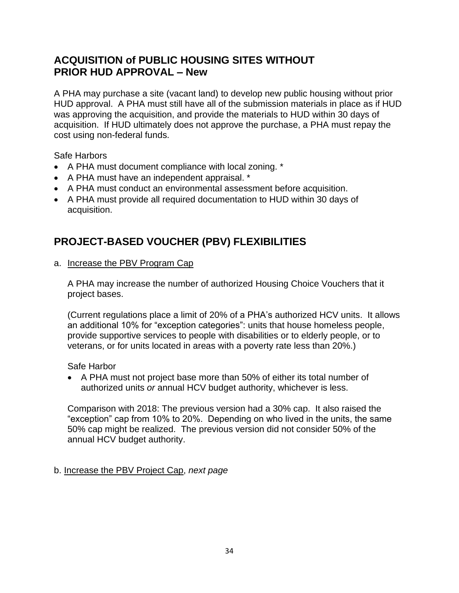## **ACQUISITION of PUBLIC HOUSING SITES WITHOUT PRIOR HUD APPROVAL – New**

A PHA may purchase a site (vacant land) to develop new public housing without prior HUD approval. A PHA must still have all of the submission materials in place as if HUD was approving the acquisition, and provide the materials to HUD within 30 days of acquisition. If HUD ultimately does not approve the purchase, a PHA must repay the cost using non-federal funds.

Safe Harbors

- A PHA must document compliance with local zoning. \*
- A PHA must have an independent appraisal. \*
- A PHA must conduct an environmental assessment before acquisition.
- A PHA must provide all required documentation to HUD within 30 days of acquisition.

# **PROJECT-BASED VOUCHER (PBV) FLEXIBILITIES**

a. Increase the PBV Program Cap

A PHA may increase the number of authorized Housing Choice Vouchers that it project bases.

(Current regulations place a limit of 20% of a PHA's authorized HCV units. It allows an additional 10% for "exception categories": units that house homeless people, provide supportive services to people with disabilities or to elderly people, or to veterans, or for units located in areas with a poverty rate less than 20%.)

Safe Harbor

• A PHA must not project base more than 50% of either its total number of authorized units *or* annual HCV budget authority, whichever is less.

Comparison with 2018: The previous version had a 30% cap. It also raised the "exception" cap from 10% to 20%. Depending on who lived in the units, the same 50% cap might be realized. The previous version did not consider 50% of the annual HCV budget authority.

### b. Increase the PBV Project Cap, *next page*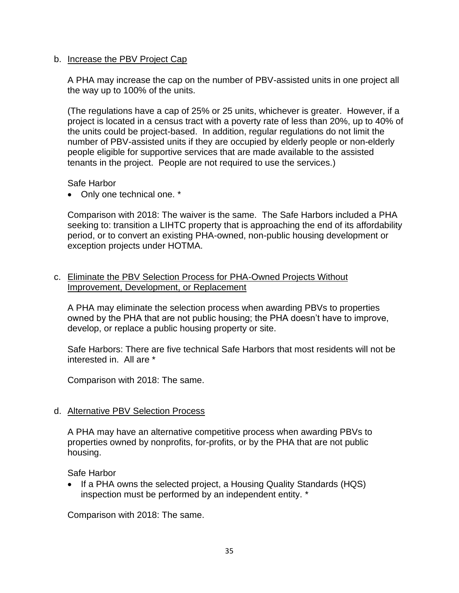#### b. Increase the PBV Project Cap

A PHA may increase the cap on the number of PBV-assisted units in one project all the way up to 100% of the units.

(The regulations have a cap of 25% or 25 units, whichever is greater. However, if a project is located in a census tract with a poverty rate of less than 20%, up to 40% of the units could be project-based. In addition, regular regulations do not limit the number of PBV-assisted units if they are occupied by elderly people or non-elderly people eligible for supportive services that are made available to the assisted tenants in the project. People are not required to use the services.)

Safe Harbor

• Only one technical one. \*

Comparison with 2018: The waiver is the same. The Safe Harbors included a PHA seeking to: transition a LIHTC property that is approaching the end of its affordability period, or to convert an existing PHA-owned, non-public housing development or exception projects under HOTMA.

### c. Eliminate the PBV Selection Process for PHA-Owned Projects Without Improvement, Development, or Replacement

A PHA may eliminate the selection process when awarding PBVs to properties owned by the PHA that are not public housing; the PHA doesn't have to improve, develop, or replace a public housing property or site.

Safe Harbors: There are five technical Safe Harbors that most residents will not be interested in. All are \*

Comparison with 2018: The same.

### d. Alternative PBV Selection Process

A PHA may have an alternative competitive process when awarding PBVs to properties owned by nonprofits, for-profits, or by the PHA that are not public housing.

Safe Harbor

• If a PHA owns the selected project, a Housing Quality Standards (HQS) inspection must be performed by an independent entity. \*

Comparison with 2018: The same.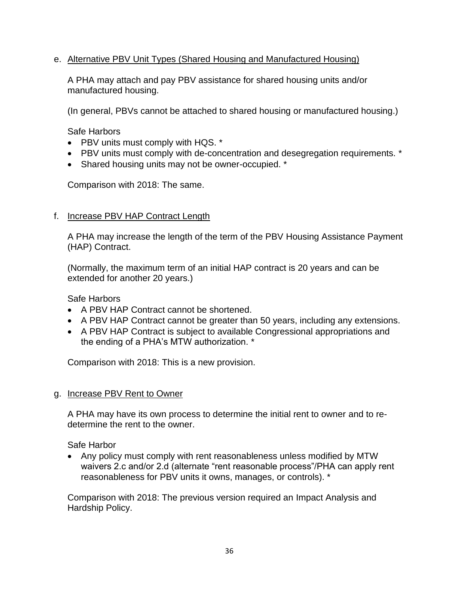### e. Alternative PBV Unit Types (Shared Housing and Manufactured Housing)

A PHA may attach and pay PBV assistance for shared housing units and/or manufactured housing.

(In general, PBVs cannot be attached to shared housing or manufactured housing.)

Safe Harbors

- PBV units must comply with HQS. \*
- PBV units must comply with de-concentration and desegregation requirements. \*
- Shared housing units may not be owner-occupied. \*

Comparison with 2018: The same.

### f. Increase PBV HAP Contract Length

A PHA may increase the length of the term of the PBV Housing Assistance Payment (HAP) Contract.

(Normally, the maximum term of an initial HAP contract is 20 years and can be extended for another 20 years.)

Safe Harbors

- A PBV HAP Contract cannot be shortened.
- A PBV HAP Contract cannot be greater than 50 years, including any extensions.
- A PBV HAP Contract is subject to available Congressional appropriations and the ending of a PHA's MTW authorization. \*

Comparison with 2018: This is a new provision.

g. Increase PBV Rent to Owner

A PHA may have its own process to determine the initial rent to owner and to redetermine the rent to the owner.

Safe Harbor

• Any policy must comply with rent reasonableness unless modified by MTW waivers 2.c and/or 2.d (alternate "rent reasonable process"/PHA can apply rent reasonableness for PBV units it owns, manages, or controls). \*

Comparison with 2018: The previous version required an Impact Analysis and Hardship Policy.